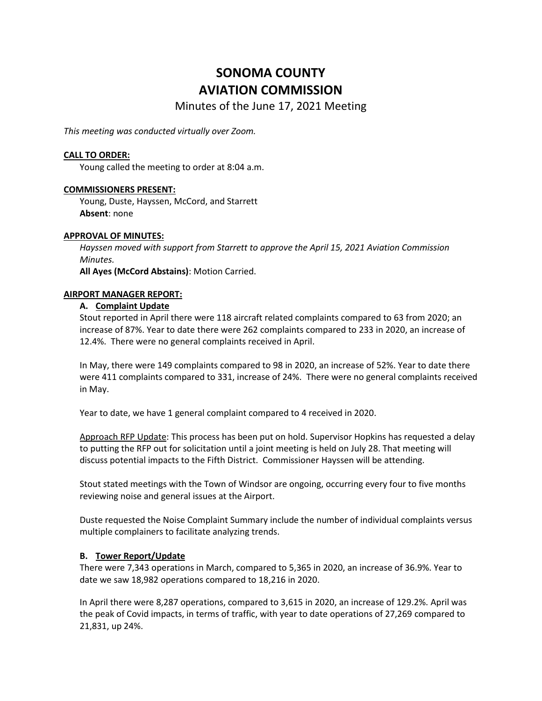# **SONOMA COUNTY AVIATION COMMISSION**

Minutes of the June 17, 2021 Meeting

*This meeting was conducted virtually over Zoom.*

# **CALL TO ORDER:**

Young called the meeting to order at 8:04 a.m.

## **COMMISSIONERS PRESENT:**

Young, Duste, Hayssen, McCord, and Starrett **Absent**: none

## **APPROVAL OF MINUTES:**

*Hayssen moved with support from Starrett to approve the April 15, 2021 Aviation Commission Minutes.* 

**All Ayes (McCord Abstains)**: Motion Carried.

#### **AIRPORT MANAGER REPORT:**

## **A. Complaint Update**

Stout reported in April there were 118 aircraft related complaints compared to 63 from 2020; an increase of 87%. Year to date there were 262 complaints compared to 233 in 2020, an increase of 12.4%. There were no general complaints received in April.

In May, there were 149 complaints compared to 98 in 2020, an increase of 52%. Year to date there were 411 complaints compared to 331, increase of 24%. There were no general complaints received in May.

Year to date, we have 1 general complaint compared to 4 received in 2020.

Approach RFP Update: This process has been put on hold. Supervisor Hopkins has requested a delay to putting the RFP out for solicitation until a joint meeting is held on July 28. That meeting will discuss potential impacts to the Fifth District. Commissioner Hayssen will be attending.

Stout stated meetings with the Town of Windsor are ongoing, occurring every four to five months reviewing noise and general issues at the Airport.

Duste requested the Noise Complaint Summary include the number of individual complaints versus multiple complainers to facilitate analyzing trends.

# **B. Tower Report/Update**

There were 7,343 operations in March, compared to 5,365 in 2020, an increase of 36.9%. Year to date we saw 18,982 operations compared to 18,216 in 2020.

In April there were 8,287 operations, compared to 3,615 in 2020, an increase of 129.2%. April was the peak of Covid impacts, in terms of traffic, with year to date operations of 27,269 compared to 21,831, up 24%.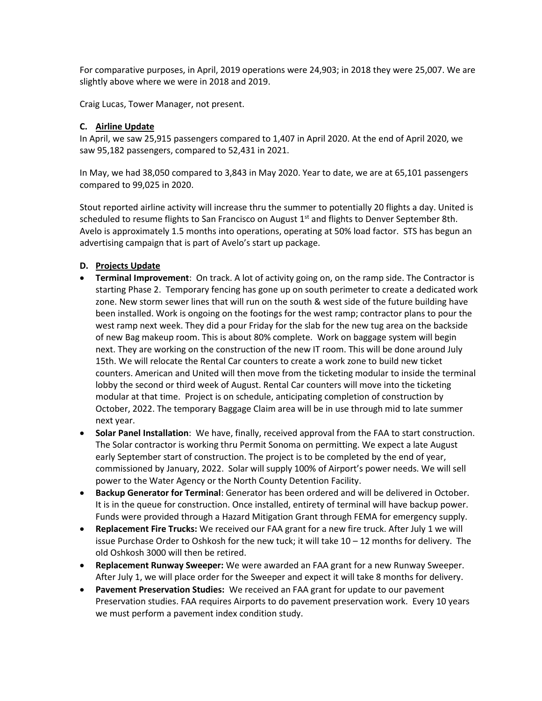For comparative purposes, in April, 2019 operations were 24,903; in 2018 they were 25,007. We are slightly above where we were in 2018 and 2019.

Craig Lucas, Tower Manager, not present.

# **C. Airline Update**

In April, we saw 25,915 passengers compared to 1,407 in April 2020. At the end of April 2020, we saw 95,182 passengers, compared to 52,431 in 2021.

In May, we had 38,050 compared to 3,843 in May 2020. Year to date, we are at 65,101 passengers compared to 99,025 in 2020.

Stout reported airline activity will increase thru the summer to potentially 20 flights a day. United is scheduled to resume flights to San Francisco on August  $1<sup>st</sup>$  and flights to Denver September 8th. Avelo is approximately 1.5 months into operations, operating at 50% load factor. STS has begun an advertising campaign that is part of Avelo's start up package.

# **D. Projects Update**

- **Terminal Improvement**: On track. A lot of activity going on, on the ramp side. The Contractor is starting Phase 2. Temporary fencing has gone up on south perimeter to create a dedicated work zone. New storm sewer lines that will run on the south & west side of the future building have been installed. Work is ongoing on the footings for the west ramp; contractor plans to pour the west ramp next week. They did a pour Friday for the slab for the new tug area on the backside of new Bag makeup room. This is about 80% complete. Work on baggage system will begin next. They are working on the construction of the new IT room. This will be done around July 15th. We will relocate the Rental Car counters to create a work zone to build new ticket counters. American and United will then move from the ticketing modular to inside the terminal lobby the second or third week of August. Rental Car counters will move into the ticketing modular at that time. Project is on schedule, anticipating completion of construction by October, 2022. The temporary Baggage Claim area will be in use through mid to late summer next year.
- **Solar Panel Installation**: We have, finally, received approval from the FAA to start construction. The Solar contractor is working thru Permit Sonoma on permitting. We expect a late August early September start of construction. The project is to be completed by the end of year, commissioned by January, 2022. Solar will supply 100% of Airport's power needs. We will sell power to the Water Agency or the North County Detention Facility.
- **Backup Generator for Terminal**: Generator has been ordered and will be delivered in October. It is in the queue for construction. Once installed, entirety of terminal will have backup power. Funds were provided through a Hazard Mitigation Grant through FEMA for emergency supply.
- **Replacement Fire Trucks:** We received our FAA grant for a new fire truck. After July 1 we will issue Purchase Order to Oshkosh for the new tuck; it will take  $10 - 12$  months for delivery. The old Oshkosh 3000 will then be retired.
- **Replacement Runway Sweeper:** We were awarded an FAA grant for a new Runway Sweeper. After July 1, we will place order for the Sweeper and expect it will take 8 months for delivery.
- **Pavement Preservation Studies:** We received an FAA grant for update to our pavement Preservation studies. FAA requires Airports to do pavement preservation work. Every 10 years we must perform a pavement index condition study.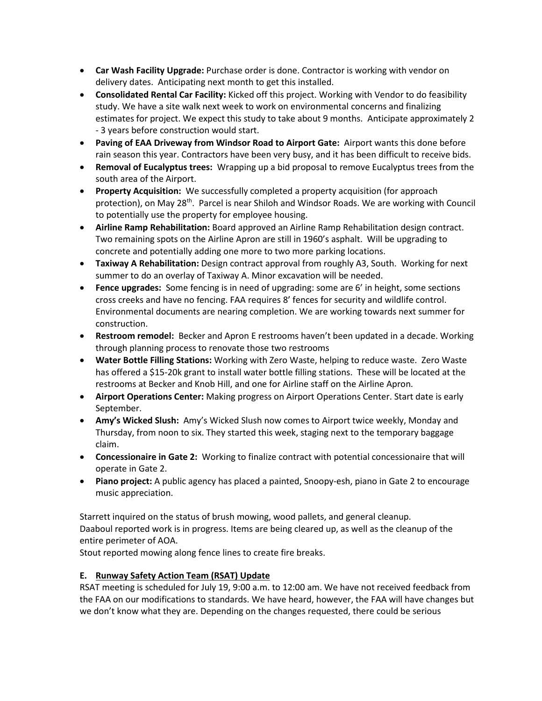- **Car Wash Facility Upgrade:** Purchase order is done. Contractor is working with vendor on delivery dates. Anticipating next month to get this installed.
- **Consolidated Rental Car Facility:** Kicked off this project. Working with Vendor to do feasibility study. We have a site walk next week to work on environmental concerns and finalizing estimates for project. We expect this study to take about 9 months. Anticipate approximately 2 - 3 years before construction would start.
- **Paving of EAA Driveway from Windsor Road to Airport Gate:** Airport wants this done before rain season this year. Contractors have been very busy, and it has been difficult to receive bids.
- **Removal of Eucalyptus trees:** Wrapping up a bid proposal to remove Eucalyptus trees from the south area of the Airport.
- **Property Acquisition:** We successfully completed a property acquisition (for approach protection), on May 28<sup>th</sup>. Parcel is near Shiloh and Windsor Roads. We are working with Council to potentially use the property for employee housing.
- **Airline Ramp Rehabilitation:** Board approved an Airline Ramp Rehabilitation design contract. Two remaining spots on the Airline Apron are still in 1960's asphalt. Will be upgrading to concrete and potentially adding one more to two more parking locations.
- **Taxiway A Rehabilitation:** Design contract approval from roughly A3, South. Working for next summer to do an overlay of Taxiway A. Minor excavation will be needed.
- **Fence upgrades:** Some fencing is in need of upgrading: some are 6' in height, some sections cross creeks and have no fencing. FAA requires 8' fences for security and wildlife control. Environmental documents are nearing completion. We are working towards next summer for construction.
- **Restroom remodel:** Becker and Apron E restrooms haven't been updated in a decade. Working through planning process to renovate those two restrooms
- **Water Bottle Filling Stations:** Working with Zero Waste, helping to reduce waste. Zero Waste has offered a \$15-20k grant to install water bottle filling stations. These will be located at the restrooms at Becker and Knob Hill, and one for Airline staff on the Airline Apron.
- **Airport Operations Center:** Making progress on Airport Operations Center. Start date is early September.
- **Amy's Wicked Slush:** Amy's Wicked Slush now comes to Airport twice weekly, Monday and Thursday, from noon to six. They started this week, staging next to the temporary baggage claim.
- **Concessionaire in Gate 2:** Working to finalize contract with potential concessionaire that will operate in Gate 2.
- **Piano project:** A public agency has placed a painted, Snoopy-esh, piano in Gate 2 to encourage music appreciation.

Starrett inquired on the status of brush mowing, wood pallets, and general cleanup. Daaboul reported work is in progress. Items are being cleared up, as well as the cleanup of the entire perimeter of AOA.

Stout reported mowing along fence lines to create fire breaks.

# **E. Runway Safety Action Team (RSAT) Update**

RSAT meeting is scheduled for July 19, 9:00 a.m. to 12:00 am. We have not received feedback from the FAA on our modifications to standards. We have heard, however, the FAA will have changes but we don't know what they are. Depending on the changes requested, there could be serious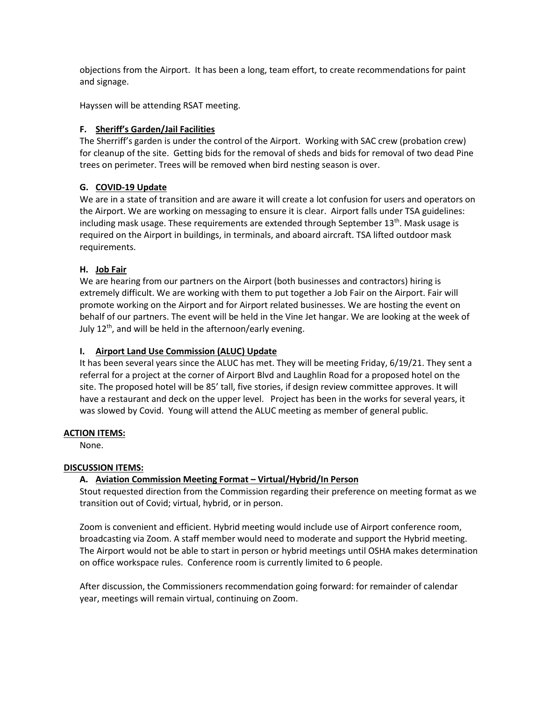objections from the Airport. It has been a long, team effort, to create recommendations for paint and signage.

Hayssen will be attending RSAT meeting.

# **F. Sheriff's Garden/Jail Facilities**

The Sherriff's garden is under the control of the Airport. Working with SAC crew (probation crew) for cleanup of the site. Getting bids for the removal of sheds and bids for removal of two dead Pine trees on perimeter. Trees will be removed when bird nesting season is over.

# **G. COVID-19 Update**

We are in a state of transition and are aware it will create a lot confusion for users and operators on the Airport. We are working on messaging to ensure it is clear. Airport falls under TSA guidelines: including mask usage. These requirements are extended through September  $13<sup>th</sup>$ . Mask usage is required on the Airport in buildings, in terminals, and aboard aircraft. TSA lifted outdoor mask requirements.

# **H. Job Fair**

We are hearing from our partners on the Airport (both businesses and contractors) hiring is extremely difficult. We are working with them to put together a Job Fair on the Airport. Fair will promote working on the Airport and for Airport related businesses. We are hosting the event on behalf of our partners. The event will be held in the Vine Jet hangar. We are looking at the week of July 12th, and will be held in the afternoon/early evening.

# **I. Airport Land Use Commission (ALUC) Update**

It has been several years since the ALUC has met. They will be meeting Friday, 6/19/21. They sent a referral for a project at the corner of Airport Blvd and Laughlin Road for a proposed hotel on the site. The proposed hotel will be 85' tall, five stories, if design review committee approves. It will have a restaurant and deck on the upper level. Project has been in the works for several years, it was slowed by Covid. Young will attend the ALUC meeting as member of general public.

# **ACTION ITEMS:**

None.

# **DISCUSSION ITEMS:**

# **A. Aviation Commission Meeting Format – Virtual/Hybrid/In Person**

Stout requested direction from the Commission regarding their preference on meeting format as we transition out of Covid; virtual, hybrid, or in person.

Zoom is convenient and efficient. Hybrid meeting would include use of Airport conference room, broadcasting via Zoom. A staff member would need to moderate and support the Hybrid meeting. The Airport would not be able to start in person or hybrid meetings until OSHA makes determination on office workspace rules. Conference room is currently limited to 6 people.

After discussion, the Commissioners recommendation going forward: for remainder of calendar year, meetings will remain virtual, continuing on Zoom.